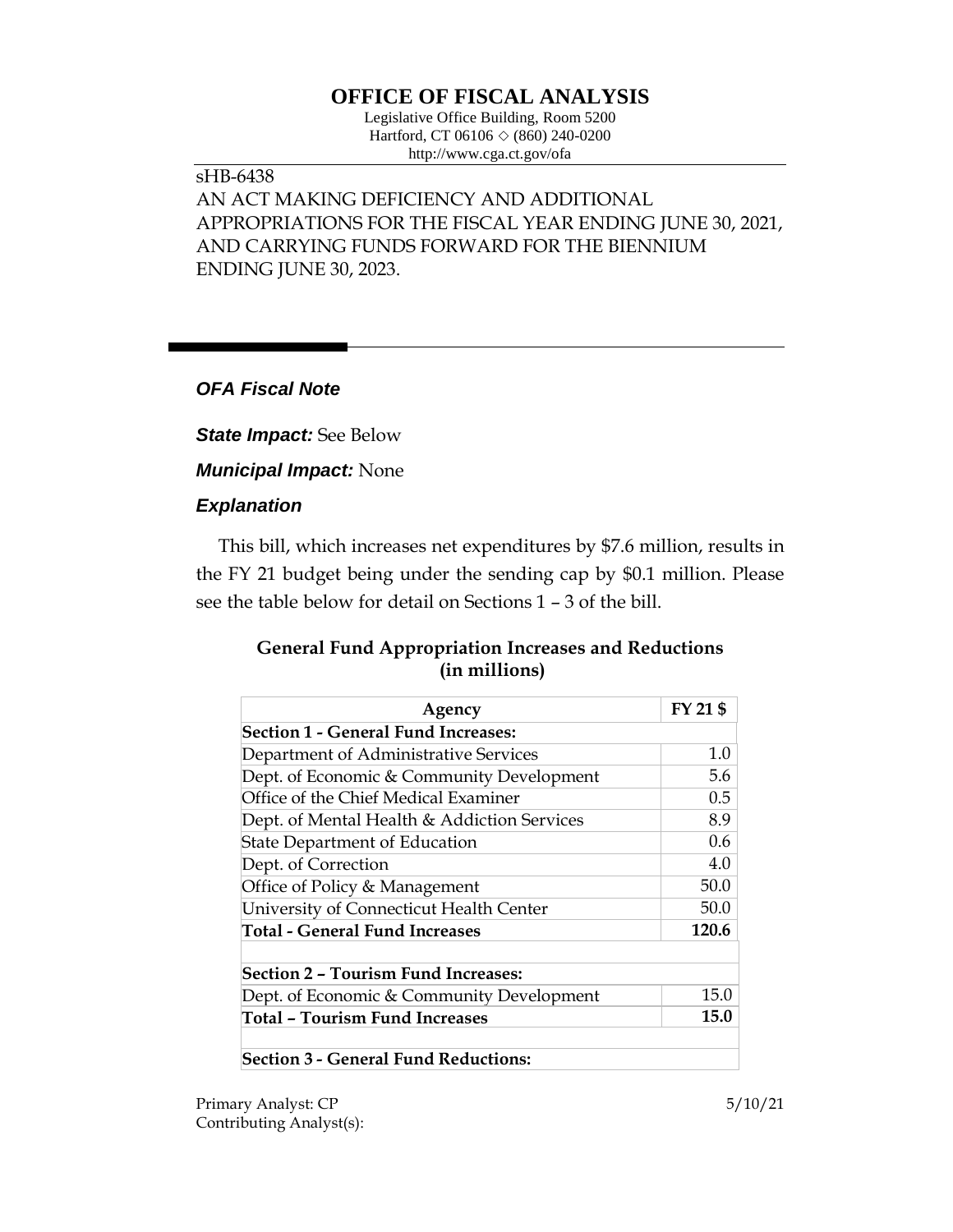# **OFFICE OF FISCAL ANALYSIS**

Legislative Office Building, Room 5200 Hartford, CT 06106  $\Diamond$  (860) 240-0200 http://www.cga.ct.gov/ofa

## sHB-6438 AN ACT MAKING DEFICIENCY AND ADDITIONAL APPROPRIATIONS FOR THE FISCAL YEAR ENDING JUNE 30, 2021, AND CARRYING FUNDS FORWARD FOR THE BIENNIUM ENDING JUNE 30, 2023.

### *OFA Fiscal Note*

*State Impact:* See Below

*Municipal Impact:* None

### *Explanation*

This bill, which increases net expenditures by \$7.6 million, results in the FY 21 budget being under the sending cap by \$0.1 million. Please see the table below for detail on Sections 1 – 3 of the bill.

### **General Fund Appropriation Increases and Reductions (in millions)**

| Agency                                      | FY 21 \$ |
|---------------------------------------------|----------|
| <b>Section 1 - General Fund Increases:</b>  |          |
| Department of Administrative Services       | 1.0      |
| Dept. of Economic & Community Development   | 5.6      |
| Office of the Chief Medical Examiner        | 0.5      |
| Dept. of Mental Health & Addiction Services | 8.9      |
| <b>State Department of Education</b>        | 0.6      |
| Dept. of Correction                         | 4.0      |
| Office of Policy & Management               | 50.0     |
| University of Connecticut Health Center     | 50.0     |
| <b>Total - General Fund Increases</b>       | 120.6    |
| <b>Section 2 - Tourism Fund Increases:</b>  |          |
| Dept. of Economic & Community Development   | 15.0     |
| Total – Tourism Fund Increases              | 15.0     |
| <b>Section 3 - General Fund Reductions:</b> |          |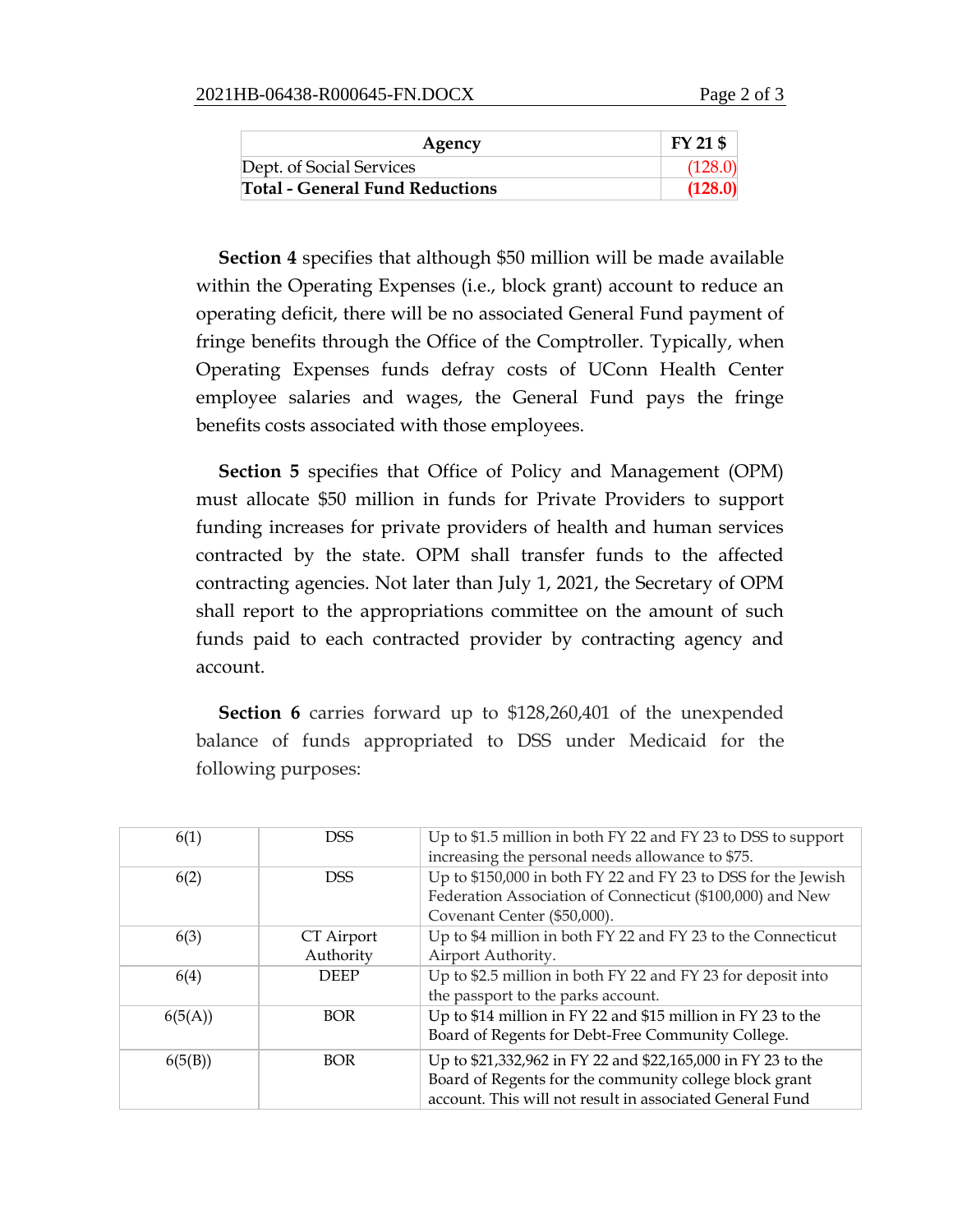| Agency                                 | $FY$ 21 \$ |
|----------------------------------------|------------|
| Dept. of Social Services               | (128.0)    |
| <b>Total - General Fund Reductions</b> | (128.0)    |

**Section 4** specifies that although \$50 million will be made available within the Operating Expenses (i.e., block grant) account to reduce an operating deficit, there will be no associated General Fund payment of fringe benefits through the Office of the Comptroller. Typically, when Operating Expenses funds defray costs of UConn Health Center employee salaries and wages, the General Fund pays the fringe benefits costs associated with those employees.

**Section 5** specifies that Office of Policy and Management (OPM) must allocate \$50 million in funds for Private Providers to support funding increases for private providers of health and human services contracted by the state. OPM shall transfer funds to the affected contracting agencies. Not later than July 1, 2021, the Secretary of OPM shall report to the appropriations committee on the amount of such funds paid to each contracted provider by contracting agency and account.

**Section 6** carries forward up to \$128,260,401 of the unexpended balance of funds appropriated to DSS under Medicaid for the following purposes:

| 6(1)    | <b>DSS</b>              | Up to \$1.5 million in both FY 22 and FY 23 to DSS to support<br>increasing the personal needs allowance to \$75.                                                                  |
|---------|-------------------------|------------------------------------------------------------------------------------------------------------------------------------------------------------------------------------|
| 6(2)    | <b>DSS</b>              | Up to \$150,000 in both FY 22 and FY 23 to DSS for the Jewish<br>Federation Association of Connecticut (\$100,000) and New<br>Covenant Center (\$50,000).                          |
| 6(3)    | CT Airport<br>Authority | Up to \$4 million in both FY 22 and FY 23 to the Connecticut<br>Airport Authority.                                                                                                 |
| 6(4)    | <b>DEEP</b>             | Up to \$2.5 million in both FY 22 and FY 23 for deposit into<br>the passport to the parks account.                                                                                 |
| 6(5(A)) | <b>BOR</b>              | Up to \$14 million in FY 22 and \$15 million in FY 23 to the<br>Board of Regents for Debt-Free Community College.                                                                  |
| 6(5(B)) | <b>BOR</b>              | Up to \$21,332,962 in FY 22 and \$22,165,000 in FY 23 to the<br>Board of Regents for the community college block grant<br>account. This will not result in associated General Fund |